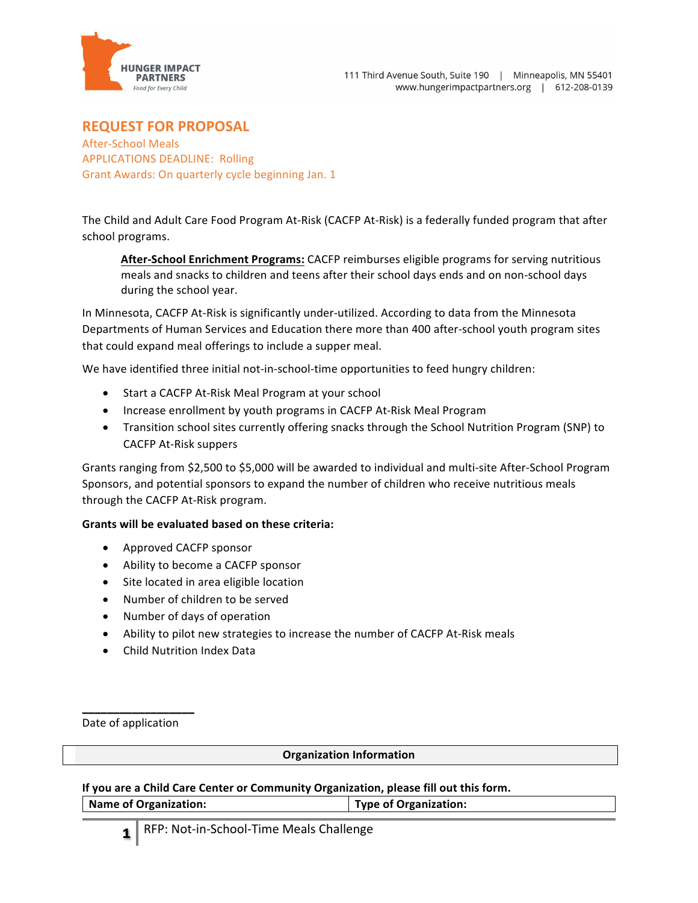

# **REQUEST FOR PROPOSAL**

After-School Meals APPLICATIONS DEADLINE: Rolling Grant Awards: On quarterly cycle beginning Jan. 1

The Child and Adult Care Food Program At-Risk (CACFP At-Risk) is a federally funded program that after school programs.

**After-School Enrichment Programs:** CACFP reimburses eligible programs for serving nutritious meals and snacks to children and teens after their school days ends and on non-school days during the school year.

In Minnesota, CACFP At-Risk is significantly under-utilized. According to data from the Minnesota Departments of Human Services and Education there more than 400 after-school youth program sites that could expand meal offerings to include a supper meal.

We have identified three initial not-in-school-time opportunities to feed hungry children:

- Start a CACFP At-Risk Meal Program at your school
- Increase enrollment by youth programs in CACFP At-Risk Meal Program
- Transition school sites currently offering snacks through the School Nutrition Program (SNP) to CACFP At-Risk suppers

Grants ranging from \$2,500 to \$5,000 will be awarded to individual and multi-site After-School Program Sponsors, and potential sponsors to expand the number of children who receive nutritious meals through the CACFP At-Risk program.

## **Grants will be evaluated based on these criteria:**

- Approved CACFP sponsor
- Ability to become a CACFP sponsor
- Site located in area eligible location
- Number of children to be served
- Number of days of operation
- Ability to pilot new strategies to increase the number of CACFP At-Risk meals
- Child Nutrition Index Data

\_\_\_\_\_\_\_\_\_\_\_\_\_\_\_\_\_\_ Date of application

## **Organization Information**

If you are a Child Care Center or Community Organization, please fill out this form.

Name of Organization: **Name of Organization:**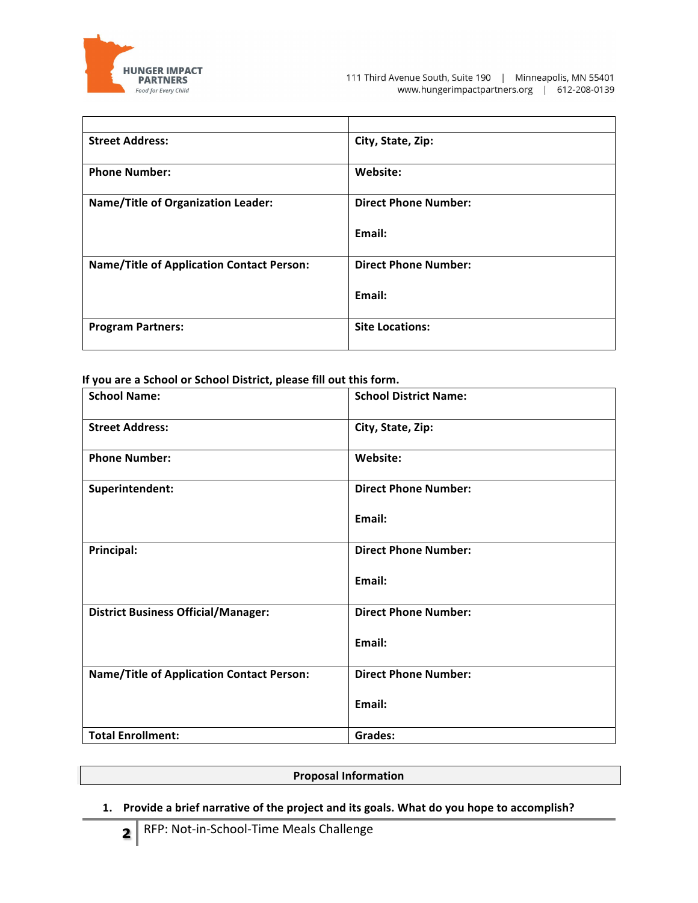

| <b>Street Address:</b>                           | City, State, Zip:           |
|--------------------------------------------------|-----------------------------|
| <b>Phone Number:</b>                             | Website:                    |
| <b>Name/Title of Organization Leader:</b>        | <b>Direct Phone Number:</b> |
|                                                  | Email:                      |
| <b>Name/Title of Application Contact Person:</b> | <b>Direct Phone Number:</b> |
|                                                  | Email:                      |
| <b>Program Partners:</b>                         | <b>Site Locations:</b>      |

If you are a School or School District, please fill out this form.

| <b>School Name:</b>                              | <b>School District Name:</b> |
|--------------------------------------------------|------------------------------|
| <b>Street Address:</b>                           | City, State, Zip:            |
| <b>Phone Number:</b>                             | Website:                     |
| Superintendent:                                  | <b>Direct Phone Number:</b>  |
|                                                  | Email:                       |
| <b>Principal:</b>                                | <b>Direct Phone Number:</b>  |
|                                                  | Email:                       |
| <b>District Business Official/Manager:</b>       | <b>Direct Phone Number:</b>  |
|                                                  | Email:                       |
| <b>Name/Title of Application Contact Person:</b> | <b>Direct Phone Number:</b>  |
|                                                  | Email:                       |
| <b>Total Enrollment:</b>                         | <b>Grades:</b>               |

#### **Proposal Information**

1. Provide a brief narrative of the project and its goals. What do you hope to accomplish?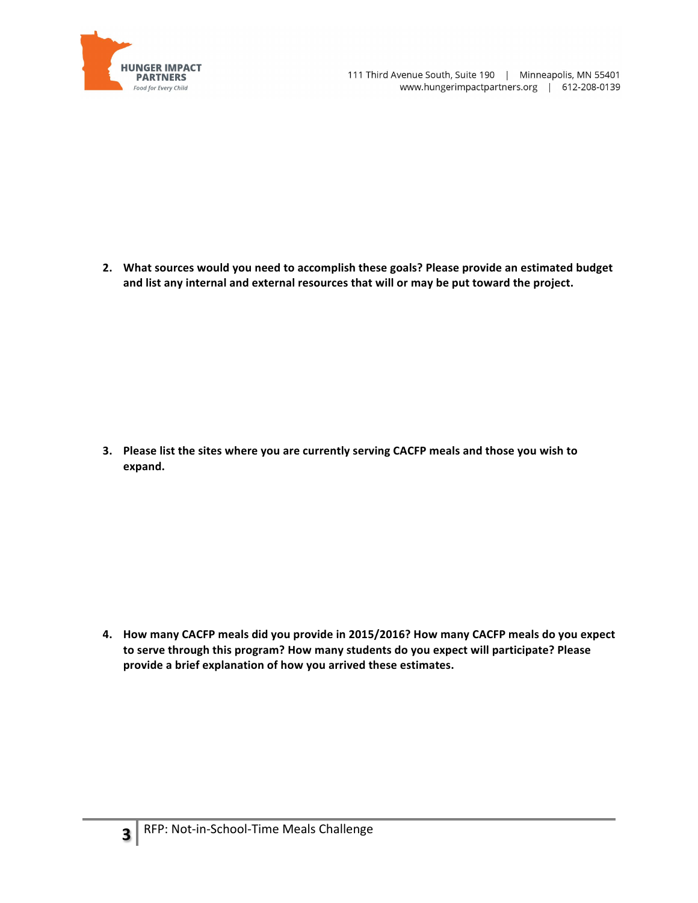

2. What sources would you need to accomplish these goals? Please provide an estimated budget and list any internal and external resources that will or may be put toward the project.

3. Please list the sites where you are currently serving CACFP meals and those you wish to **expand.** 

**4. How many CACFP meals did you provide in 2015/2016? How many CACFP meals do you expect**  to serve through this program? How many students do you expect will participate? Please provide a brief explanation of how you arrived these estimates.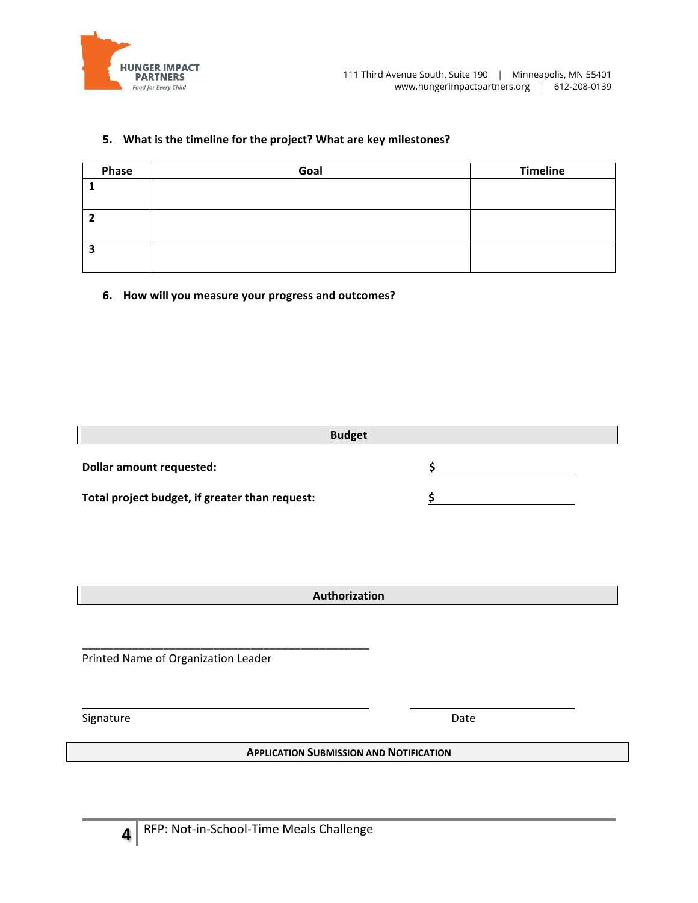

## 5. What is the timeline for the project? What are key milestones?

| Phase | Goal | <b>Timeline</b> |
|-------|------|-----------------|
|       |      |                 |
|       |      |                 |
|       |      |                 |
|       |      |                 |
| з     |      |                 |
|       |      |                 |

### **6. How will you measure your progress and outcomes?**

|                                                | <b>Budget</b> |  |
|------------------------------------------------|---------------|--|
| <b>Dollar amount requested:</b>                |               |  |
| Total project budget, if greater than request: |               |  |

**Authorization**

Printed Name of Organization Leader

\_\_\_\_\_\_\_\_\_\_\_\_\_\_\_\_\_\_\_\_\_\_\_\_\_\_\_\_\_\_\_\_\_\_\_\_\_\_\_\_\_\_\_\_\_\_

Signature Date

**APPLICATION SUBMISSION AND NOTIFICATION**